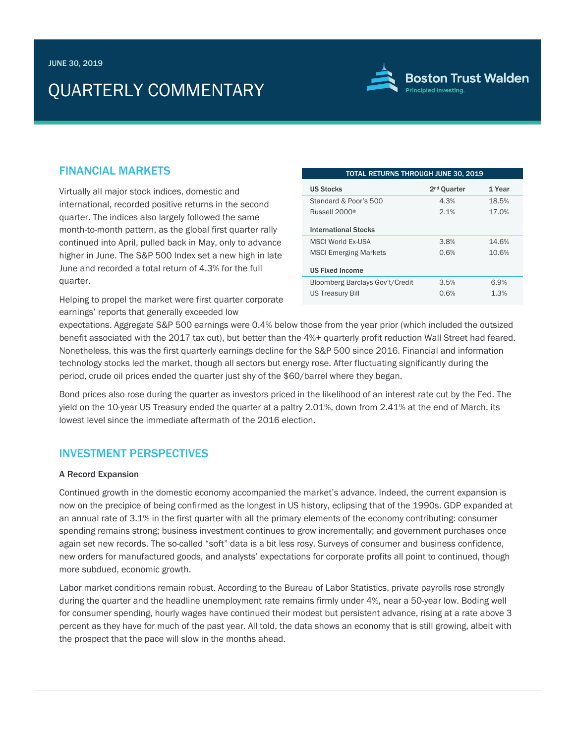# QUARTERLY COMMENTARY



## FINANCIAL MARKETS

Virtually all major stock indices, domestic and international, recorded positive returns in the second quarter. The indices also largely followed the same month-to-month pattern, as the global first quarter rally continued into April, pulled back in May, only to advance higher in June. The S&P 500 Index set a new high in late June and recorded a total return of 4.3% for the full quarter.

Helping to propel the market were first quarter corporate earnings' reports that generally exceeded low

| TOTAL RETURNS THROUGH JUNE 30, 2019 |                         |        |
|-------------------------------------|-------------------------|--------|
| <b>US Stocks</b>                    | 2 <sup>nd</sup> Ouarter | 1 Year |
| Standard & Poor's 500               | 4.3%                    | 18.5%  |
| Russell 2000 <sup>®</sup>           | 2.1%                    | 17.0%  |
| <b>International Stocks</b>         |                         |        |
| <b>MSCI World Fx-USA</b>            | 3.8%                    | 14.6%  |
| <b>MSCI Emerging Markets</b>        | 0.6%                    | 10.6%  |
| <b>US Fixed Income</b>              |                         |        |
| Bloomberg Barclays Gov't/Credit     | 3.5%                    | 6.9%   |
| <b>US Treasury Bill</b>             | 0.6%                    | 1.3%   |

expectations. Aggregate S&P 500 earnings were 0.4% below those from the year prior (which included the outsized benefit associated with the 2017 tax cut), but better than the 4%+ quarterly profit reduction Wall Street had feared. Nonetheless, this was the first quarterly earnings decline for the S&P 500 since 2016. Financial and information technology stocks led the market, though all sectors but energy rose. After fluctuating significantly during the period, crude oil prices ended the quarter just shy of the \$60/barrel where they began.

Bond prices also rose during the quarter as investors priced in the likelihood of an interest rate cut by the Fed. The yield on the 10-year US Treasury ended the quarter at a paltry 2.01%, down from 2.41% at the end of March, its lowest level since the immediate aftermath of the 2016 election.

# INVESTMENT PERSPECTIVES

## A Record Expansion

Continued growth in the domestic economy accompanied the market's advance. Indeed, the current expansion is now on the precipice of being confirmed as the longest in US history, eclipsing that of the 1990s. GDP expanded at an annual rate of 3.1% in the first quarter with all the primary elements of the economy contributing: consumer spending remains strong; business investment continues to grow incrementally; and government purchases once again set new records. The so-called "soft" data is a bit less rosy. Surveys of consumer and business confidence, new orders for manufactured goods, and analysts' expectations for corporate profits all point to continued, though more subdued, economic growth.

Labor market conditions remain robust. According to the Bureau of Labor Statistics, private payrolls rose strongly during the quarter and the headline unemployment rate remains firmly under 4%, near a 50-year low. Boding well for consumer spending, hourly wages have continued their modest but persistent advance, rising at a rate above 3 percent as they have for much of the past year. All told, the data shows an economy that is still growing, albeit with the prospect that the pace will slow in the months ahead.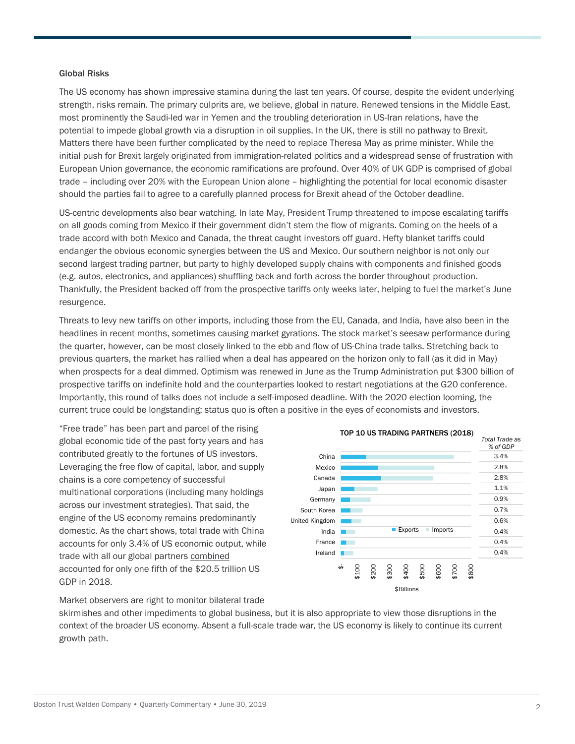## Global Risks

The US economy has shown impressive stamina during the last ten years. Of course, despite the evident underlying strength, risks remain. The primary culprits are, we believe, global in nature. Renewed tensions in the Middle East, most prominently the Saudi-led war in Yemen and the troubling deterioration in US-Iran relations, have the potential to impede global growth via a disruption in oil supplies. In the UK, there is still no pathway to Brexit. Matters there have been further complicated by the need to replace Theresa May as prime minister. While the initial push for Brexit largely originated from immigration-related politics and a widespread sense of frustration with European Union governance, the economic ramifications are profound. Over 40% of UK GDP is comprised of global trade – including over 20% with the European Union alone – highlighting the potential for local economic disaster should the parties fail to agree to a carefully planned process for Brexit ahead of the October deadline.

US-centric developments also bear watching. In late May, President Trump threatened to impose escalating tariffs on all goods coming from Mexico if their government didn't stem the flow of migrants. Coming on the heels of a trade accord with both Mexico and Canada, the threat caught investors off guard. Hefty blanket tariffs could endanger the obvious economic synergies between the US and Mexico. Our southern neighbor is not only our second largest trading partner, but party to highly developed supply chains with components and finished goods (e.g. autos, electronics, and appliances) shuffling back and forth across the border throughout production. Thankfully, the President backed off from the prospective tariffs only weeks later, helping to fuel the market's June resurgence.

Threats to levy new tariffs on other imports, including those from the EU, Canada, and India, have also been in the headlines in recent months, sometimes causing market gyrations. The stock market's seesaw performance during the quarter, however, can be most closely linked to the ebb and flow of US-China trade talks. Stretching back to previous quarters, the market has rallied when a deal has appeared on the horizon only to fall (as it did in May) when prospects for a deal dimmed. Optimism was renewed in June as the Trump Administration put \$300 billion of prospective tariffs on indefinite hold and the counterparties looked to restart negotiations at the G20 conference. Importantly, this round of talks does not include a self-imposed deadline. With the 2020 election looming, the current truce could be longstanding; status quo is often a positive in the eyes of economists and investors.

"Free trade" has been part and parcel of the rising global economic tide of the past forty years and has contributed greatly to the fortunes of US investors. Leveraging the free flow of capital, labor, and supply chains is a core competency of successful multinational corporations (including many holdings across our investment strategies). That said, the engine of the US economy remains predominantly domestic. As the chart shows, total trade with China accounts for only 3.4% of US economic output, while trade with all our global partners combined accounted for only one fifth of the \$20.5 trillion US GDP in 2018.



Market observers are right to monitor bilateral trade

skirmishes and other impediments to global business, but it is also appropriate to view those disruptions in the context of the broader US economy. Absent a full-scale trade war, the US economy is likely to continue its current growth path.